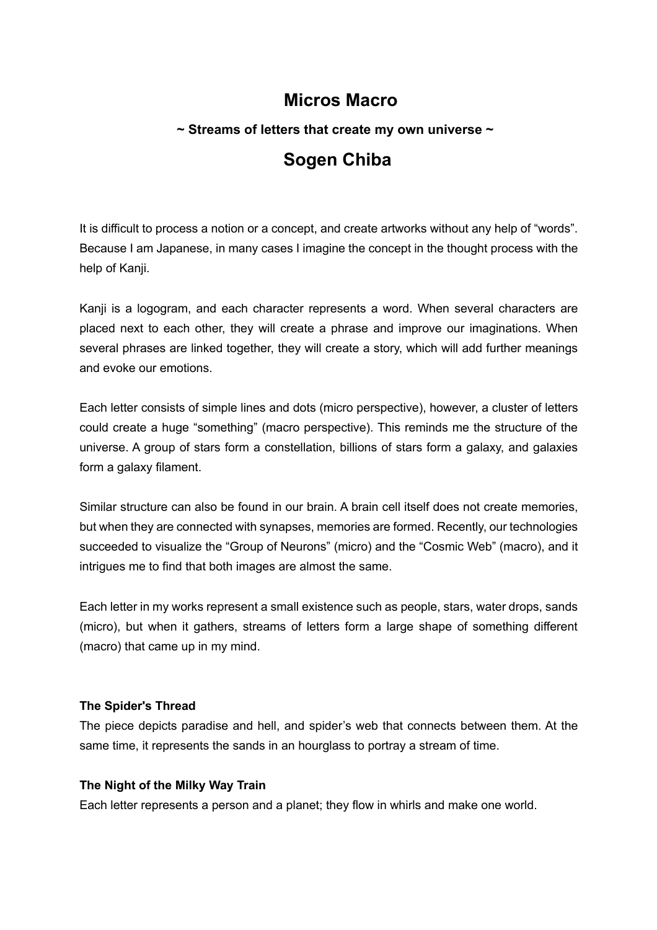# **Micros Macro**

# **~ Streams of letters that create my own universe ~ Sogen Chiba**

It is difficult to process a notion or a concept, and create artworks without any help of "words". Because I am Japanese, in many cases I imagine the concept in the thought process with the help of Kanji.

Kanji is a logogram, and each character represents a word. When several characters are placed next to each other, they will create a phrase and improve our imaginations. When several phrases are linked together, they will create a story, which will add further meanings and evoke our emotions.

Each letter consists of simple lines and dots (micro perspective), however, a cluster of letters could create a huge "something" (macro perspective). This reminds me the structure of the universe. A group of stars form a constellation, billions of stars form a galaxy, and galaxies form a galaxy filament.

Similar structure can also be found in our brain. A brain cell itself does not create memories, but when they are connected with synapses, memories are formed. Recently, our technologies succeeded to visualize the "Group of Neurons" (micro) and the "Cosmic Web" (macro), and it intrigues me to find that both images are almost the same.

Each letter in my works represent a small existence such as people, stars, water drops, sands (micro), but when it gathers, streams of letters form a large shape of something different (macro) that came up in my mind.

## **The Spider's Thread**

The piece depicts paradise and hell, and spider's web that connects between them. At the same time, it represents the sands in an hourglass to portray a stream of time.

## **The Night of the Milky Way Train**

Each letter represents a person and a planet; they flow in whirls and make one world.